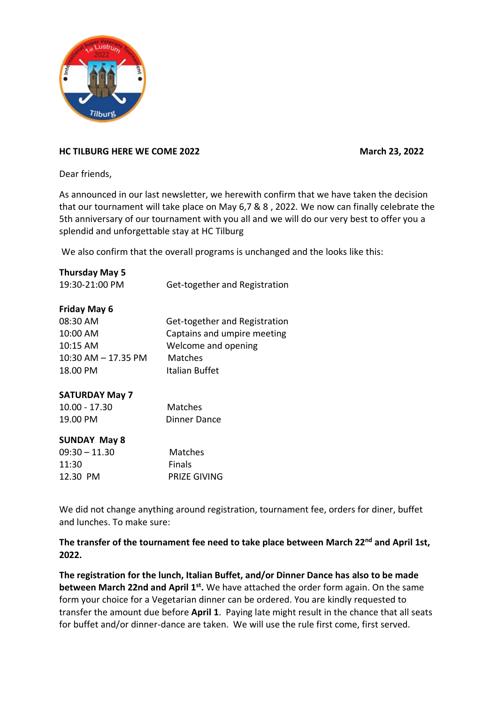

## **HC TILBURG HERE WE COME 2022 March 23, 2022**

Dear friends,

As announced in our last newsletter, we herewith confirm that we have taken the decision that our tournament will take place on May 6,7 & 8 , 2022. We now can finally celebrate the 5th anniversary of our tournament with you all and we will do our very best to offer you a splendid and unforgettable stay at HC Tilburg

We also confirm that the overall programs is unchanged and the looks like this:

| <b>Thursday May 5</b>   |                               |
|-------------------------|-------------------------------|
| 19:30-21:00 PM          | Get-together and Registration |
|                         |                               |
| <b>Friday May 6</b>     |                               |
| 08:30 AM                | Get-together and Registration |
| 10:00 AM                | Captains and umpire meeting   |
| $10:15$ AM              | Welcome and opening           |
| $10:30$ AM $- 17.35$ PM | Matches                       |
| 18.00 PM                | Italian Buffet                |
|                         |                               |
| <b>SATURDAY May 7</b>   |                               |
| $10.00 - 17.30$         | Matches                       |
| 19.00 PM                | <b>Dinner Dance</b>           |
|                         |                               |
| <b>SUNDAY May 8</b>     |                               |
| $09:30 - 11.30$         | Matches                       |
| 11:30                   | Finals                        |
| 12.30 PM                | PRIZE GIVING                  |

We did not change anything around registration, tournament fee, orders for diner, buffet and lunches. To make sure:

## **The transfer of the tournament fee need to take place between March 22nd and April 1st, 2022.**

**The registration for the lunch, Italian Buffet, and/or Dinner Dance has also to be made between March 22nd and April 1st**. We have attached the order form again. On the same form your choice for a Vegetarian dinner can be ordered. You are kindly requested to transfer the amount due before **April 1**. Paying late might result in the chance that all seats for buffet and/or dinner-dance are taken. We will use the rule first come, first served.